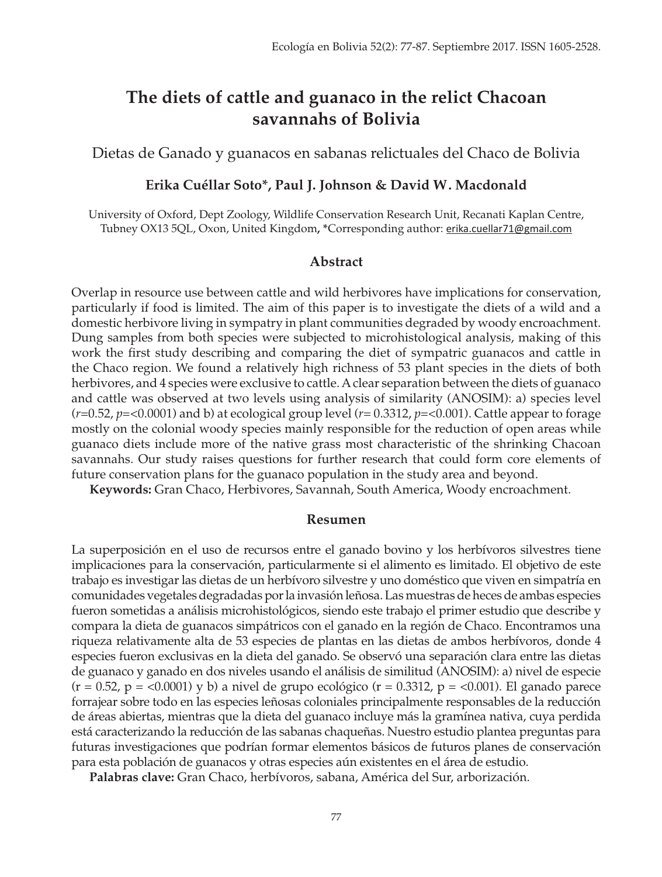# **The diets of cattle and guanaco in the relict Chacoan savannahs of Bolivia**

Dietas de Ganado y guanacos en sabanas relictuales del Chaco de Bolivia

#### **Erika Cuéllar Soto\*, Paul J. Johnson & David W. Macdonald**

University of Oxford, Dept Zoology, Wildlife Conservation Research Unit, Recanati Kaplan Centre, Tubney OX13 5QL, Oxon, United Kingdom**, \***Corresponding author: erika.cuellar71@gmail.com

#### **Abstract**

Overlap in resource use between cattle and wild herbivores have implications for conservation, particularly if food is limited. The aim of this paper is to investigate the diets of a wild and a domestic herbivore living in sympatry in plant communities degraded by woody encroachment. Dung samples from both species were subjected to microhistological analysis, making of this work the first study describing and comparing the diet of sympatric guanacos and cattle in the Chaco region. We found a relatively high richness of 53 plant species in the diets of both herbivores, and 4 species were exclusive to cattle. A clear separation between the diets of guanaco and cattle was observed at two levels using analysis of similarity (ANOSIM): a) species level  $(r=0.52, p=<0.0001)$  and b) at ecological group level  $(r=0.3312, p=<0.001)$ . Cattle appear to forage mostly on the colonial woody species mainly responsible for the reduction of open areas while guanaco diets include more of the native grass most characteristic of the shrinking Chacoan savannahs. Our study raises questions for further research that could form core elements of future conservation plans for the guanaco population in the study area and beyond.

**Keywords:** Gran Chaco, Herbivores, Savannah, South America, Woody encroachment.

#### **Resumen**

La superposición en el uso de recursos entre el ganado bovino y los herbívoros silvestres tiene implicaciones para la conservación, particularmente si el alimento es limitado. El objetivo de este trabajo es investigar las dietas de un herbívoro silvestre y uno doméstico que viven en simpatría en comunidades vegetales degradadas por la invasión leñosa. Las muestras de heces de ambas especies fueron sometidas a análisis microhistológicos, siendo este trabajo el primer estudio que describe y compara la dieta de guanacos simpátricos con el ganado en la región de Chaco. Encontramos una riqueza relativamente alta de 53 especies de plantas en las dietas de ambos herbívoros, donde 4 especies fueron exclusivas en la dieta del ganado. Se observó una separación clara entre las dietas de guanaco y ganado en dos niveles usando el análisis de similitud (ANOSIM): a) nivel de especie  $(r = 0.52, p = 0.0001)$  y b) a nivel de grupo ecológico (r = 0.3312, p =  $0.001$ ). El ganado parece forrajear sobre todo en las especies leñosas coloniales principalmente responsables de la reducción de áreas abiertas, mientras que la dieta del guanaco incluye más la gramínea nativa, cuya perdida está caracterizando la reducción de las sabanas chaqueñas. Nuestro estudio plantea preguntas para futuras investigaciones que podrían formar elementos básicos de futuros planes de conservación para esta población de guanacos y otras especies aún existentes en el área de estudio.

**Palabras clave:** Gran Chaco, herbívoros, sabana, América del Sur, arborización.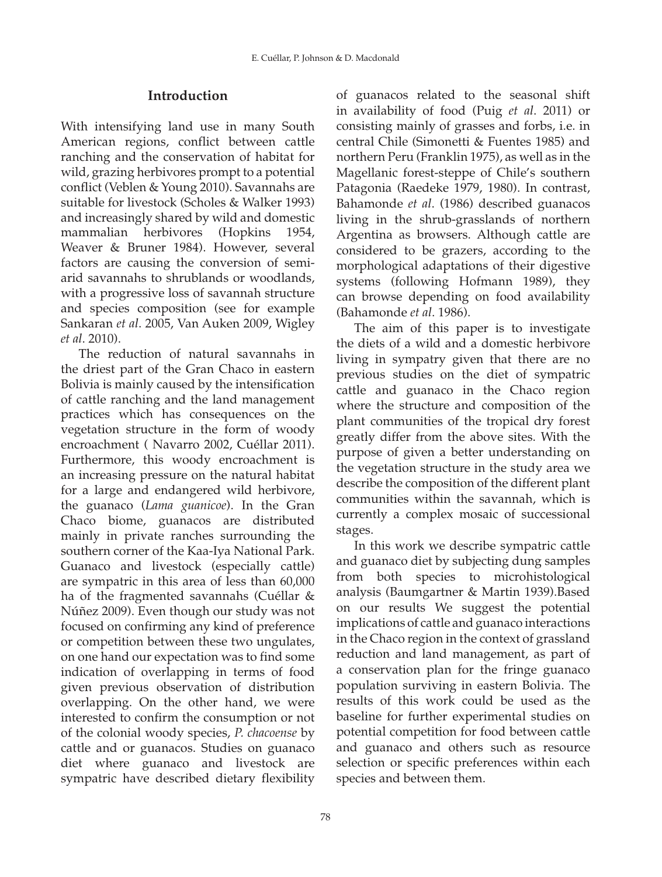### **Introduction**

With intensifying land use in many South American regions, conflict between cattle ranching and the conservation of habitat for wild, grazing herbivores prompt to a potential conflict (Veblen & Young 2010). Savannahs are suitable for livestock (Scholes & Walker 1993) and increasingly shared by wild and domestic mammalian herbivores (Hopkins 1954, Weaver & Bruner 1984). However, several factors are causing the conversion of semiarid savannahs to shrublands or woodlands, with a progressive loss of savannah structure and species composition (see for example Sankaran *et al*. 2005, Van Auken 2009, Wigley *et al*. 2010).

The reduction of natural savannahs in the driest part of the Gran Chaco in eastern Bolivia is mainly caused by the intensification of cattle ranching and the land management practices which has consequences on the vegetation structure in the form of woody encroachment ( Navarro 2002, Cuéllar 2011). Furthermore, this woody encroachment is an increasing pressure on the natural habitat for a large and endangered wild herbivore, the guanaco (*Lama guanicoe*). In the Gran Chaco biome, guanacos are distributed mainly in private ranches surrounding the southern corner of the Kaa-Iya National Park. Guanaco and livestock (especially cattle) are sympatric in this area of less than 60,000 ha of the fragmented savannahs (Cuéllar & Núñez 2009). Even though our study was not focused on confirming any kind of preference or competition between these two ungulates, on one hand our expectation was to find some indication of overlapping in terms of food given previous observation of distribution overlapping. On the other hand, we were interested to confirm the consumption or not of the colonial woody species, *P. chacoense* by cattle and or guanacos. Studies on guanaco diet where guanaco and livestock are sympatric have described dietary flexibility

of guanacos related to the seasonal shift in availability of food (Puig *et al*. 2011) or consisting mainly of grasses and forbs, i.e. in central Chile (Simonetti & Fuentes 1985) and northern Peru (Franklin 1975), as well as in the Magellanic forest-steppe of Chile's southern Patagonia (Raedeke 1979, 1980). In contrast, Bahamonde *et al*. (1986) described guanacos living in the shrub-grasslands of northern Argentina as browsers. Although cattle are considered to be grazers, according to the morphological adaptations of their digestive systems (following Hofmann 1989), they can browse depending on food availability (Bahamonde *et al*. 1986).

The aim of this paper is to investigate the diets of a wild and a domestic herbivore living in sympatry given that there are no previous studies on the diet of sympatric cattle and guanaco in the Chaco region where the structure and composition of the plant communities of the tropical dry forest greatly differ from the above sites. With the purpose of given a better understanding on the vegetation structure in the study area we describe the composition of the different plant communities within the savannah, which is currently a complex mosaic of successional stages.

In this work we describe sympatric cattle and guanaco diet by subjecting dung samples from both species to microhistological analysis (Baumgartner & Martin 1939).Based on our results We suggest the potential implications of cattle and guanaco interactions in the Chaco region in the context of grassland reduction and land management, as part of a conservation plan for the fringe guanaco population surviving in eastern Bolivia. The results of this work could be used as the baseline for further experimental studies on potential competition for food between cattle and guanaco and others such as resource selection or specific preferences within each species and between them.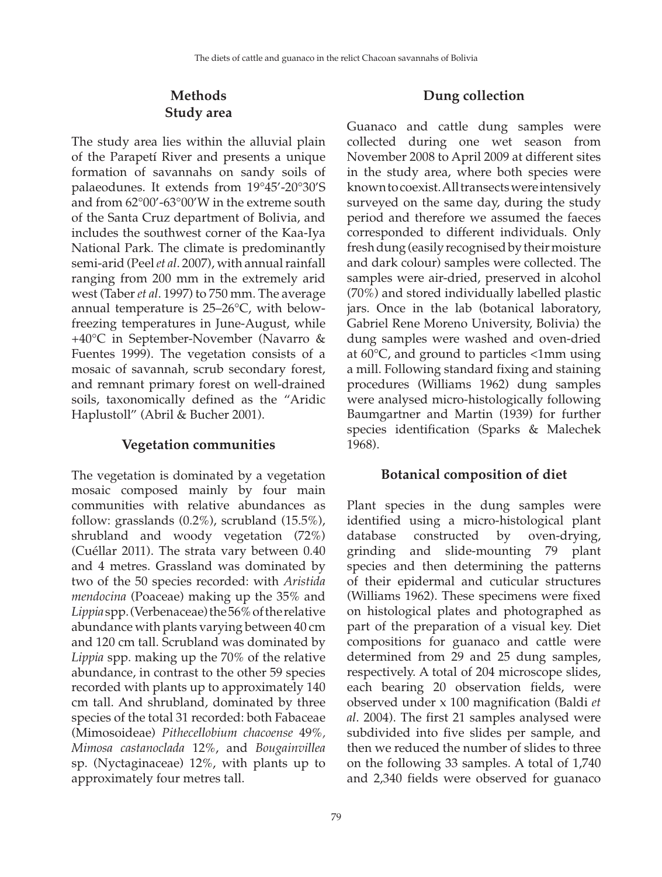### **Methods Study area**

The study area lies within the alluvial plain of the Parapetí River and presents a unique formation of savannahs on sandy soils of palaeodunes. It extends from 19°45'-20°30'S and from 62°00'-63°00'W in the extreme south of the Santa Cruz department of Bolivia, and includes the southwest corner of the Kaa-Iya National Park. The climate is predominantly semi-arid (Peel *et al*. 2007), with annual rainfall ranging from 200 mm in the extremely arid west (Taber *et al*. 1997) to 750 mm. The average annual temperature is 25–26°C, with belowfreezing temperatures in June-August, while +40°C in September-November (Navarro & Fuentes 1999). The vegetation consists of a mosaic of savannah, scrub secondary forest, and remnant primary forest on well-drained soils, taxonomically defined as the "Aridic Haplustoll" (Abril & Bucher 2001).

#### **Vegetation communities**

The vegetation is dominated by a vegetation mosaic composed mainly by four main communities with relative abundances as follow: grasslands (0.2%), scrubland (15.5%), shrubland and woody vegetation (72%) (Cuéllar 2011). The strata vary between 0.40 and 4 metres. Grassland was dominated by two of the 50 species recorded: with *Aristida mendocina* (Poaceae) making up the 35% and *Lippia* spp. (Verbenaceae) the56% of the relative abundance with plants varying between 40 cm and 120 cm tall. Scrubland was dominated by *Lippia* spp. making up the 70% of the relative abundance, in contrast to the other 59 species recorded with plants up to approximately 140 cm tall. And shrubland, dominated by three species of the total 31 recorded: both Fabaceae (Mimosoideae) *Pithecellobium chacoense* 49%*, Mimosa castanoclada* 12%, and *Bougainvillea*  sp. (Nyctaginaceae) 12%, with plants up to approximately four metres tall.

#### **Dung collection**

Guanaco and cattle dung samples were collected during one wet season from November 2008 to April 2009 at different sites in the study area, where both species were known to coexist. All transects were intensively surveyed on the same day, during the study period and therefore we assumed the faeces corresponded to different individuals. Only fresh dung (easily recognised by their moisture and dark colour) samples were collected. The samples were air-dried, preserved in alcohol (70%) and stored individually labelled plastic jars. Once in the lab (botanical laboratory, Gabriel Rene Moreno University, Bolivia) the dung samples were washed and oven-dried at 60°C, and ground to particles <1mm using a mill. Following standard fixing and staining procedures (Williams 1962) dung samples were analysed micro-histologically following Baumgartner and Martin (1939) for further species identification (Sparks & Malechek 1968).

#### **Botanical composition of diet**

Plant species in the dung samples were identified using a micro-histological plant database constructed by oven-drying, grinding and slide-mounting 79 plant species and then determining the patterns of their epidermal and cuticular structures (Williams 1962). These specimens were fixed on histological plates and photographed as part of the preparation of a visual key. Diet compositions for guanaco and cattle were determined from 29 and 25 dung samples, respectively. A total of 204 microscope slides, each bearing 20 observation fields, were observed under x 100 magnification (Baldi *et al*. 2004). The first 21 samples analysed were subdivided into five slides per sample, and then we reduced the number of slides to three on the following 33 samples. A total of 1,740 and 2,340 fields were observed for guanaco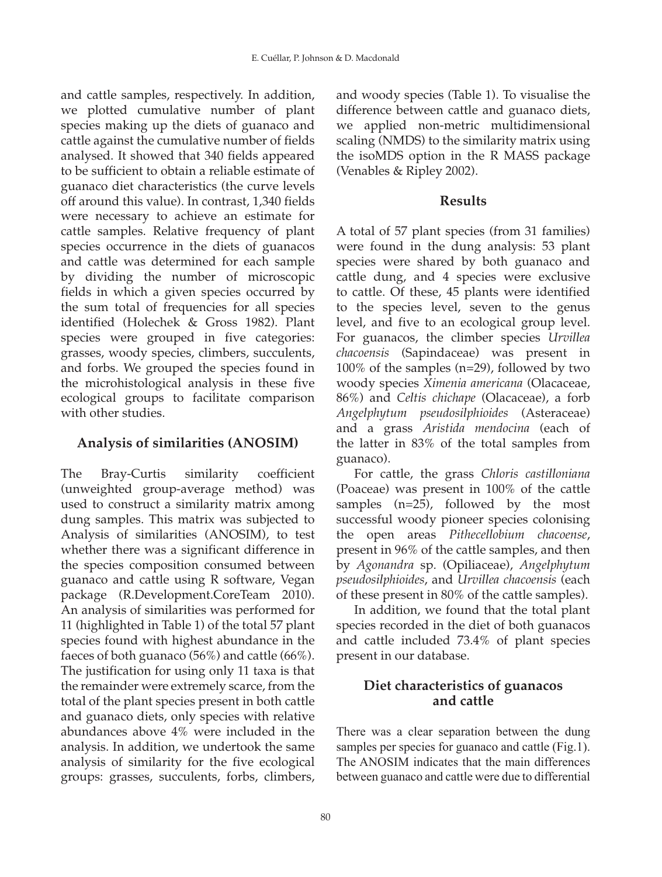and cattle samples, respectively. In addition, we plotted cumulative number of plant species making up the diets of guanaco and cattle against the cumulative number of fields analysed. It showed that 340 fields appeared to be sufficient to obtain a reliable estimate of guanaco diet characteristics (the curve levels off around this value). In contrast, 1,340 fields were necessary to achieve an estimate for cattle samples. Relative frequency of plant species occurrence in the diets of guanacos and cattle was determined for each sample by dividing the number of microscopic fields in which a given species occurred by the sum total of frequencies for all species identified (Holechek & Gross 1982). Plant species were grouped in five categories: grasses, woody species, climbers, succulents, and forbs. We grouped the species found in the microhistological analysis in these five ecological groups to facilitate comparison with other studies.

# **Analysis of similarities (ANOSIM)**

The Bray-Curtis similarity coefficient (unweighted group-average method) was used to construct a similarity matrix among dung samples. This matrix was subjected to Analysis of similarities (ANOSIM), to test whether there was a significant difference in the species composition consumed between guanaco and cattle using R software, Vegan package (R.Development.CoreTeam 2010). An analysis of similarities was performed for 11 (highlighted in Table 1) of the total 57 plant species found with highest abundance in the faeces of both guanaco (56%) and cattle (66%). The justification for using only 11 taxa is that the remainder were extremely scarce, from the total of the plant species present in both cattle and guanaco diets, only species with relative abundances above 4% were included in the analysis. In addition, we undertook the same analysis of similarity for the five ecological groups: grasses, succulents, forbs, climbers, and woody species (Table 1). To visualise the difference between cattle and guanaco diets, we applied non-metric multidimensional scaling (NMDS) to the similarity matrix using the isoMDS option in the R MASS package (Venables & Ripley 2002).

# **Results**

A total of 57 plant species (from 31 families) were found in the dung analysis: 53 plant species were shared by both guanaco and cattle dung, and 4 species were exclusive to cattle. Of these, 45 plants were identified to the species level, seven to the genus level, and five to an ecological group level. For guanacos, the climber species *Urvillea chacoensis* (Sapindaceae) was present in 100% of the samples (n=29), followed by two woody species *Ximenia americana* (Olacaceae, 86%) and *Celtis chichape* (Olacaceae), a forb *Angelphytum pseudosilphioides* (Asteraceae) and a grass *Aristida mendocina* (each of the latter in 83% of the total samples from guanaco).

For cattle, the grass *Chloris castilloniana* (Poaceae) was present in 100% of the cattle samples (n=25), followed by the most successful woody pioneer species colonising the open areas *Pithecellobium chacoense*, present in 96% of the cattle samples, and then by *Agonandra* sp*.* (Opiliaceae), *Angelphytum pseudosilphioides*, and *Urvillea chacoensis* (each of these present in 80% of the cattle samples).

In addition, we found that the total plant species recorded in the diet of both guanacos and cattle included 73.4% of plant species present in our database.

## **Diet characteristics of guanacos and cattle**

There was a clear separation between the dung samples per species for guanaco and cattle (Fig.1). The ANOSIM indicates that the main differences between guanaco and cattle were due to differential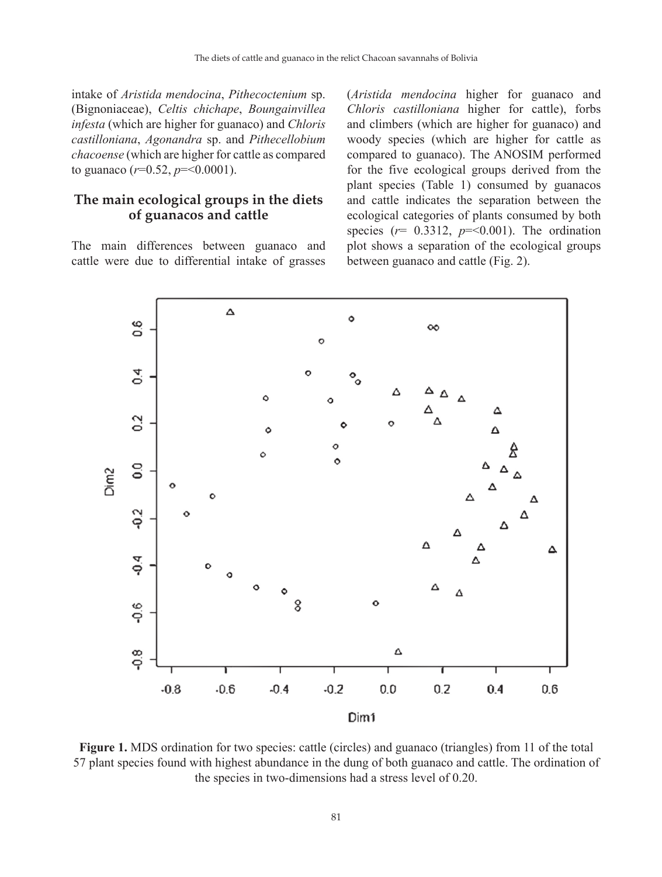intake of *Aristida mendocina*, *Pithecoctenium* sp. (Bignoniaceae), *Celtis chichape*, *Boungainvillea infesta* (which are higher for guanaco) and *Chloris castilloniana*, *Agonandra* sp. and *Pithecellobium chacoense* (which are higher for cattle as compared to guanaco  $(r=0.52, p=<0.0001)$ .

#### **The main ecological groups in the diets of guanacos and cattle**

The main differences between guanaco and cattle were due to differential intake of grasses (*Aristida mendocina* higher for guanaco and *Chloris castilloniana* higher for cattle), forbs and climbers (which are higher for guanaco) and woody species (which are higher for cattle as compared to guanaco). The ANOSIM performed for the five ecological groups derived from the plant species (Table 1) consumed by guanacos and cattle indicates the separation between the ecological categories of plants consumed by both species ( $r= 0.3312$ ,  $p = 0.001$ ). The ordination plot shows a separation of the ecological groups between guanaco and cattle (Fig. 2).



**Figure 1.** MDS ordination for two species: cattle (circles) and guanaco (triangles) from 11 of the total 57 plant species found with highest abundance in the dung of both guanaco and cattle. The ordination of the species in two-dimensions had a stress level of 0.20.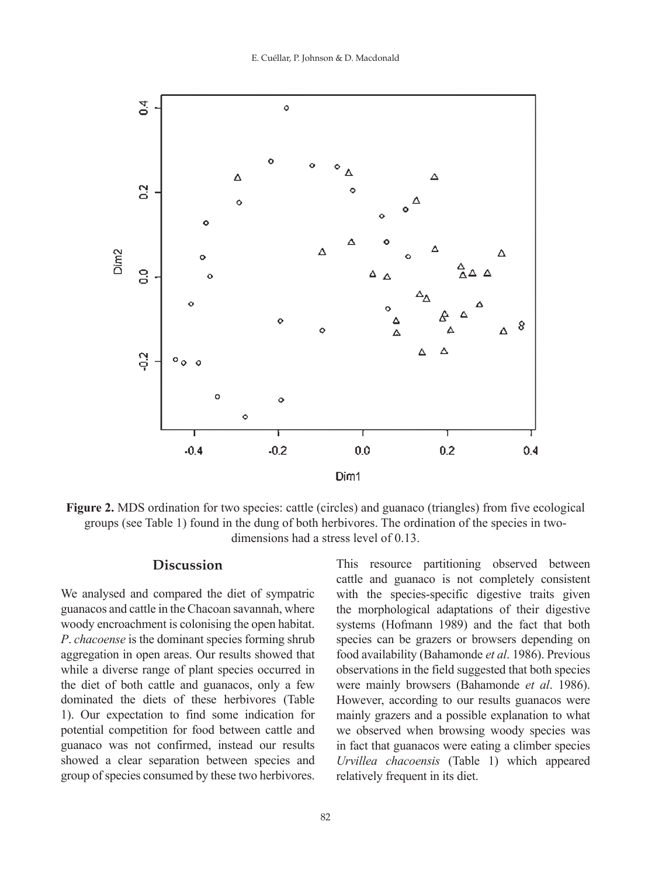

**Figure 2.** MDS ordination for two species: cattle (circles) and guanaco (triangles) from five ecological groups (see Table 1) found in the dung of both herbivores. The ordination of the species in twodimensions had a stress level of 0.13.

#### **Discussion**

We analysed and compared the diet of sympatric guanacos and cattle in the Chacoan savannah, where woody encroachment is colonising the open habitat. *P*. *chacoense* is the dominant species forming shrub aggregation in open areas. Our results showed that while a diverse range of plant species occurred in the diet of both cattle and guanacos, only a few dominated the diets of these herbivores (Table 1). Our expectation to find some indication for potential competition for food between cattle and guanaco was not confirmed, instead our results showed a clear separation between species and group of species consumed by these two herbivores.

This resource partitioning observed between cattle and guanaco is not completely consistent with the species-specific digestive traits given the morphological adaptations of their digestive systems (Hofmann 1989) and the fact that both species can be grazers or browsers depending on food availability (Bahamonde *et al*. 1986). Previous observations in the field suggested that both species were mainly browsers (Bahamonde *et al*. 1986). However, according to our results guanacos were mainly grazers and a possible explanation to what we observed when browsing woody species was in fact that guanacos were eating a climber species *Urvillea chacoensis* (Table 1) which appeared relatively frequent in its diet.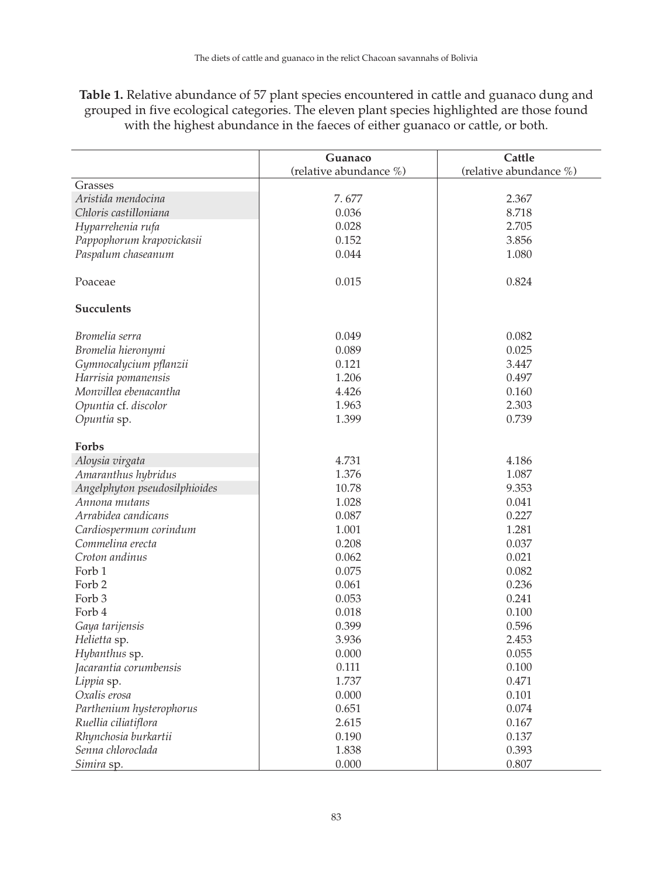| <b>Table 1.</b> Relative abundance of 57 plant species encountered in cattle and guanaco dung and |
|---------------------------------------------------------------------------------------------------|
| grouped in five ecological categories. The eleven plant species highlighted are those found       |
| with the highest abundance in the faeces of either guanaco or cattle, or both.                    |

|                               | Guanaco                | Cattle                 |
|-------------------------------|------------------------|------------------------|
|                               | (relative abundance %) | (relative abundance %) |
| Grasses                       |                        |                        |
| Aristida mendocina            | 7.677                  | 2.367                  |
| Chloris castilloniana         | 0.036                  | 8.718                  |
| Hyparrehenia rufa             | 0.028                  | 2.705                  |
| Pappophorum krapovickasii     | 0.152                  | 3.856                  |
| Paspalum chaseanum            | 0.044                  | 1.080                  |
|                               |                        |                        |
| Poaceae                       | 0.015                  | 0.824                  |
|                               |                        |                        |
| <b>Succulents</b>             |                        |                        |
|                               |                        |                        |
| Bromelia serra                | 0.049                  | 0.082                  |
| Bromelia hieronymi            | 0.089                  | 0.025                  |
| Gymnocalycium pflanzii        | 0.121                  | 3.447                  |
| Harrisia pomanensis           | 1.206                  | 0.497                  |
| Monvillea ebenacantha         | 4.426                  | 0.160                  |
| Opuntia cf. discolor          | 1.963                  | 2.303                  |
| Opuntia sp.                   | 1.399                  | 0.739                  |
|                               |                        |                        |
| Forbs                         |                        |                        |
| Aloysia virgata               | 4.731                  | 4.186                  |
| Amaranthus hybridus           | 1.376                  | 1.087                  |
| Angelphyton pseudosilphioides | 10.78                  | 9.353                  |
| Annona mutans                 | 1.028                  | 0.041                  |
| Arrabidea candicans           | 0.087                  | 0.227                  |
| Cardiospermum corindum        | 1.001                  | 1.281                  |
| Commelina erecta              | 0.208                  | 0.037                  |
| Croton andinus                | 0.062                  | 0.021                  |
| Forb 1                        | 0.075                  | 0.082                  |
| Forb 2                        | 0.061                  | 0.236                  |
| Forb <sub>3</sub>             | 0.053                  | 0.241                  |
| Forb 4                        | 0.018                  | 0.100                  |
| Gaya tarijensis               | 0.399                  | 0.596                  |
| Helietta sp.                  | 3.936                  | 2.453                  |
| Hybanthus sp.                 | 0.000                  | 0.055                  |
| Jacarantia corumbensis        | 0.111                  | 0.100                  |
| Lippia sp.                    | 1.737                  | 0.471                  |
| Oxalis erosa                  | 0.000                  | 0.101                  |
| Parthenium hysterophorus      | 0.651                  | 0.074                  |
| Ruellia ciliatiflora          | 2.615                  | 0.167                  |
| Rhynchosia burkartii          | 0.190                  | 0.137                  |
| Senna chloroclada             | 1.838                  | 0.393                  |
| Simira sp.                    | 0.000                  | 0.807                  |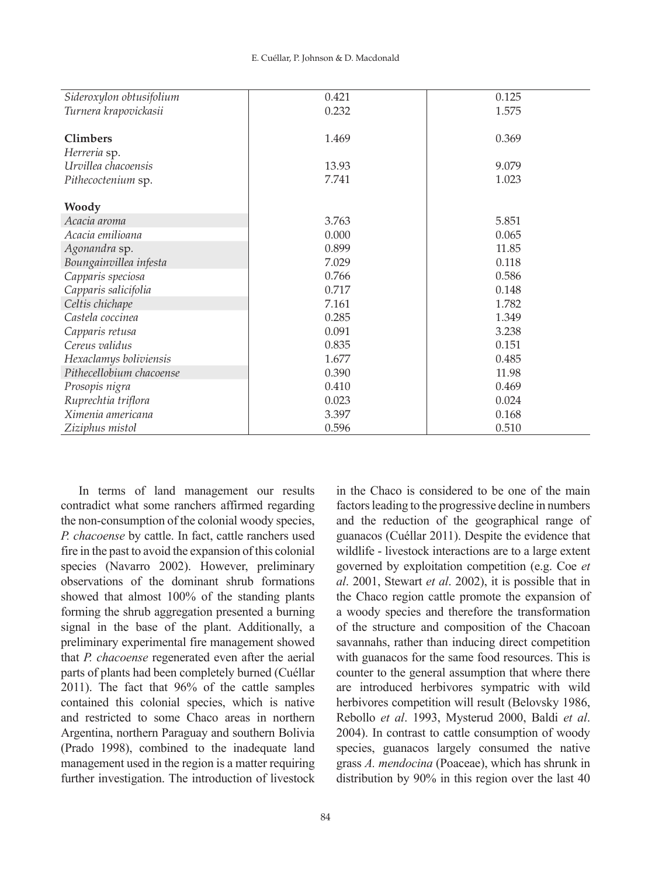|                          | 0.421 | 0.125 |
|--------------------------|-------|-------|
| Sideroxylon obtusifolium |       |       |
| Turnera krapovickasii    | 0.232 | 1.575 |
|                          |       |       |
| <b>Climbers</b>          | 1.469 | 0.369 |
| Herreria sp.             |       |       |
| Urvillea chacoensis      | 13.93 | 9.079 |
| Pithecoctenium sp.       | 7.741 | 1.023 |
| Woody                    |       |       |
| Acacia aroma             | 3.763 | 5.851 |
| Acacia emilioana         | 0.000 | 0.065 |
| Agonandra sp.            | 0.899 | 11.85 |
| Boungainvillea infesta   | 7.029 | 0.118 |
| Capparis speciosa        | 0.766 | 0.586 |
| Capparis salicifolia     | 0.717 | 0.148 |
| Celtis chichape          | 7.161 | 1.782 |
| Castela coccinea         | 0.285 | 1.349 |
| Capparis retusa          | 0.091 | 3.238 |
| Cereus validus           | 0.835 | 0.151 |
| Hexaclamys boliviensis   | 1.677 | 0.485 |
| Pithecellobium chacoense | 0.390 | 11.98 |
| Prosopis nigra           | 0.410 | 0.469 |
| Ruprechtia triflora      | 0.023 | 0.024 |
| Ximenia americana        | 3.397 | 0.168 |
| Ziziphus mistol          | 0.596 | 0.510 |

In terms of land management our results contradict what some ranchers affirmed regarding the non-consumption of the colonial woody species, *P. chacoense* by cattle. In fact, cattle ranchers used fire in the past to avoid the expansion of this colonial species (Navarro 2002). However, preliminary observations of the dominant shrub formations showed that almost 100% of the standing plants forming the shrub aggregation presented a burning signal in the base of the plant. Additionally, a preliminary experimental fire management showed that *P. chacoense* regenerated even after the aerial parts of plants had been completely burned (Cuéllar 2011). The fact that 96% of the cattle samples contained this colonial species, which is native and restricted to some Chaco areas in northern Argentina, northern Paraguay and southern Bolivia (Prado 1998), combined to the inadequate land management used in the region is a matter requiring further investigation. The introduction of livestock in the Chaco is considered to be one of the main factors leading to the progressive decline in numbers and the reduction of the geographical range of guanacos (Cuéllar 2011). Despite the evidence that wildlife - livestock interactions are to a large extent governed by exploitation competition (e.g. Coe *et al*. 2001, Stewart *et al*. 2002), it is possible that in the Chaco region cattle promote the expansion of a woody species and therefore the transformation of the structure and composition of the Chacoan savannahs, rather than inducing direct competition with guanacos for the same food resources. This is counter to the general assumption that where there are introduced herbivores sympatric with wild herbivores competition will result (Belovsky 1986, Rebollo *et al*. 1993, Mysterud 2000, Baldi *et al*. 2004). In contrast to cattle consumption of woody species, guanacos largely consumed the native grass *A. mendocina* (Poaceae), which has shrunk in distribution by 90% in this region over the last 40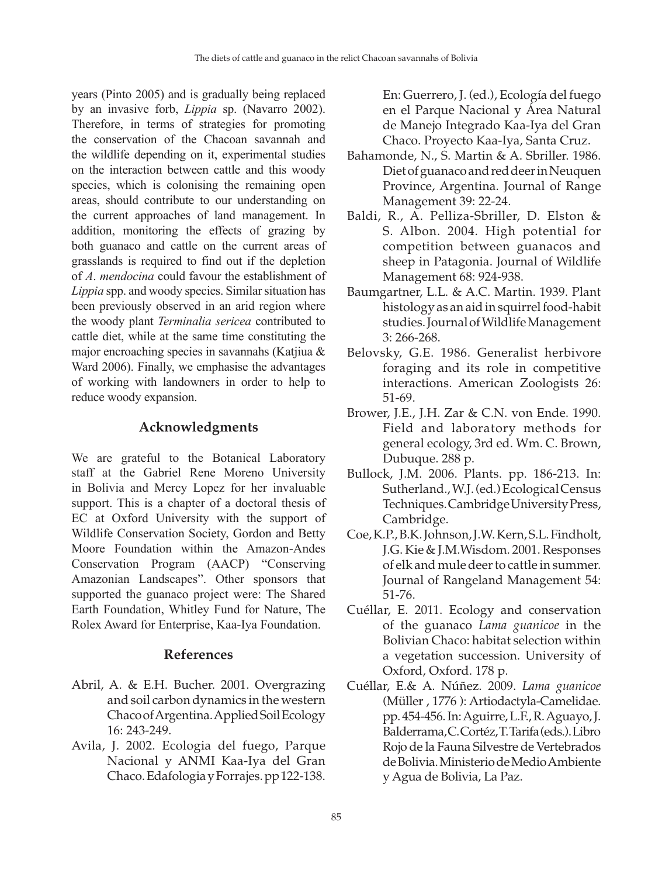years (Pinto 2005) and is gradually being replaced by an invasive forb, *Lippia* sp. (Navarro 2002). Therefore, in terms of strategies for promoting the conservation of the Chacoan savannah and the wildlife depending on it, experimental studies on the interaction between cattle and this woody species, which is colonising the remaining open areas, should contribute to our understanding on the current approaches of land management. In addition, monitoring the effects of grazing by both guanaco and cattle on the current areas of grasslands is required to find out if the depletion of *A*. *mendocina* could favour the establishment of *Lippia* spp. and woody species. Similar situation has been previously observed in an arid region where the woody plant *Terminalia sericea* contributed to cattle diet, while at the same time constituting the major encroaching species in savannahs (Katjiua & Ward 2006). Finally, we emphasise the advantages of working with landowners in order to help to reduce woody expansion.

### **Acknowledgments**

We are grateful to the Botanical Laboratory staff at the Gabriel Rene Moreno University in Bolivia and Mercy Lopez for her invaluable support. This is a chapter of a doctoral thesis of EC at Oxford University with the support of Wildlife Conservation Society, Gordon and Betty Moore Foundation within the Amazon-Andes Conservation Program (AACP) "Conserving Amazonian Landscapes". Other sponsors that supported the guanaco project were: The Shared Earth Foundation, Whitley Fund for Nature, The Rolex Award for Enterprise, Kaa-Iya Foundation.

#### **References**

- Abril, A. & E.H. Bucher. 2001. Overgrazing and soil carbon dynamics in the western Chaco of Argentina. Applied Soil Ecology 16: 243-249.
- Avila, J. 2002. Ecologia del fuego, Parque Nacional y ANMI Kaa-Iya del Gran Chaco. Edafologia y Forrajes. pp 122-138.

En: Guerrero, J. (ed.), Ecología del fuego en el Parque Nacional y Área Natural de Manejo Integrado Kaa-Iya del Gran Chaco. Proyecto Kaa-Iya, Santa Cruz.

- Bahamonde, N., S. Martin & A. Sbriller. 1986. Diet of guanaco and red deer in Neuquen Province, Argentina. Journal of Range Management 39: 22-24.
- Baldi, R., A. Pelliza-Sbriller, D. Elston & S. Albon. 2004. High potential for competition between guanacos and sheep in Patagonia. Journal of Wildlife Management 68: 924-938.
- Baumgartner, L.L. & A.C. Martin. 1939. Plant histology as an aid in squirrel food-habit studies. Journal of Wildlife Management 3: 266-268.
- Belovsky, G.E. 1986. Generalist herbivore foraging and its role in competitive interactions. American Zoologists 26: 51-69.
- Brower, J.E., J.H. Zar & C.N. von Ende. 1990. Field and laboratory methods for general ecology, 3rd ed. Wm. C. Brown, Dubuque. 288 p.
- Bullock, J.M. 2006. Plants. pp. 186-213. In: Sutherland., W.J. (ed.) Ecological Census Techniques. Cambridge University Press, Cambridge.
- Coe, K.P., B.K. Johnson, J.W. Kern, S.L. Findholt, J.G. Kie & J.M.Wisdom. 2001. Responses of elk and mule deer to cattle in summer. Journal of Rangeland Management 54: 51-76.
- Cuéllar, E. 2011. Ecology and conservation of the guanaco *Lama guanicoe* in the Bolivian Chaco: habitat selection within a vegetation succession. University of Oxford, Oxford. 178 p.
- Cuéllar, E.& A. Núñez. 2009. *Lama guanicoe* (Müller , 1776 ): Artiodactyla-Camelidae. pp. 454-456. In: Aguirre, L.F., R. Aguayo, J. Balderrama, C. Cortéz, T. Tarifa (eds.). Libro Rojo de la Fauna Silvestre de Vertebrados de Bolivia. Ministerio de Medio Ambiente y Agua de Bolivia, La Paz.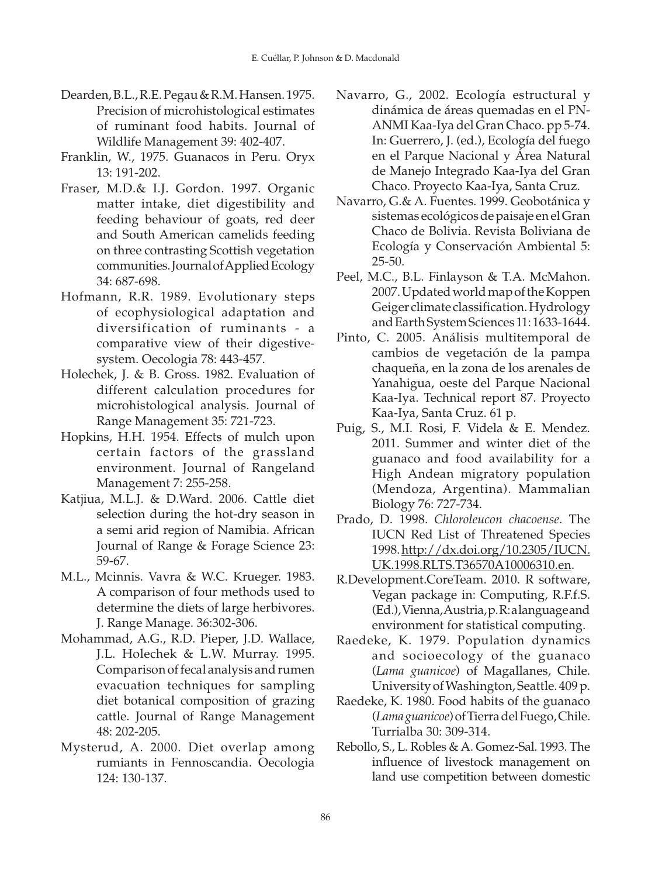- Dearden, B.L., R.E. Pegau & R.M. Hansen. 1975. Precision of microhistological estimates of ruminant food habits. Journal of Wildlife Management 39: 402-407.
- Franklin, W., 1975. Guanacos in Peru. Oryx 13: 191-202.
- Fraser, M.D.& I.J. Gordon. 1997. Organic matter intake, diet digestibility and feeding behaviour of goats, red deer and South American camelids feeding on three contrasting Scottish vegetation communities. Journal of Applied Ecology 34: 687-698.
- Hofmann, R.R. 1989. Evolutionary steps of ecophysiological adaptation and diversification of ruminants - a comparative view of their digestivesystem. Oecologia 78: 443-457.
- Holechek, J. & B. Gross. 1982. Evaluation of different calculation procedures for microhistological analysis. Journal of Range Management 35: 721-723.
- Hopkins, H.H. 1954. Effects of mulch upon certain factors of the grassland environment. Journal of Rangeland Management 7: 255-258.
- Katjiua, M.L.J. & D.Ward. 2006. Cattle diet selection during the hot-dry season in a semi arid region of Namibia. African Journal of Range & Forage Science 23: 59-67.
- M.L., Mcinnis. Vavra & W.C. Krueger. 1983. A comparison of four methods used to determine the diets of large herbivores. J. Range Manage. 36:302-306.
- Mohammad, A.G., R.D. Pieper, J.D. Wallace, J.L. Holechek & L.W. Murray. 1995. Comparison of fecal analysis and rumen evacuation techniques for sampling diet botanical composition of grazing cattle. Journal of Range Management 48: 202-205.
- Mysterud, A. 2000. Diet overlap among rumiants in Fennoscandia. Oecologia 124: 130-137.
- Navarro, G., 2002. Ecología estructural y dinámica de áreas quemadas en el PN-ANMI Kaa-Iya del Gran Chaco. pp 5-74. In: Guerrero, J. (ed.), Ecología del fuego en el Parque Nacional y Área Natural de Manejo Integrado Kaa-Iya del Gran Chaco. Proyecto Kaa-Iya, Santa Cruz.
- Navarro, G.& A. Fuentes. 1999. Geobotánica y sistemas ecológicos de paisaje en el Gran Chaco de Bolivia. Revista Boliviana de Ecología y Conservación Ambiental 5: 25-50.
- Peel, M.C., B.L. Finlayson & T.A. McMahon. 2007. Updated world map of the Koppen Geiger climate classification. Hydrology and Earth System Sciences 11: 1633-1644.
- Pinto, C. 2005. Análisis multitemporal de cambios de vegetación de la pampa chaqueña, en la zona de los arenales de Yanahigua, oeste del Parque Nacional Kaa-Iya. Technical report 87. Proyecto Kaa-Iya, Santa Cruz. 61 p.
- Puig, S., M.I. Rosi, F. Videla & E. Mendez. 2011. Summer and winter diet of the guanaco and food availability for a High Andean migratory population (Mendoza, Argentina). Mammalian Biology 76: 727-734.
- Prado, D. 1998. *Chloroleucon chacoense*. The IUCN Red List of Threatened Species 1998. http://dx.doi.org/10.2305/IUCN. UK.1998.RLTS.T36570A10006310.en.
- R.Development.CoreTeam. 2010. R software, Vegan package in: Computing, R.F.f.S. (Ed.), Vienna, Austria, p. R: a language and environment for statistical computing.
- Raedeke, K. 1979. Population dynamics and socioecology of the guanaco (*Lama guanicoe*) of Magallanes, Chile. University of Washington, Seattle. 409 p.
- Raedeke, K. 1980. Food habits of the guanaco (*Lama guanicoe*) of Tierra del Fuego, Chile. Turrialba 30: 309-314.
- Rebollo, S., L. Robles & A. Gomez-Sal. 1993. The influence of livestock management on land use competition between domestic